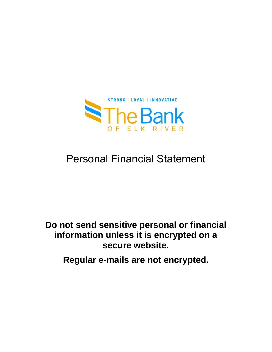

# Personal Financial Statement

# **Do not send sensitive personal or financial information unless it is encrypted on a secure website.**

**Regular e-mails are not encrypted.**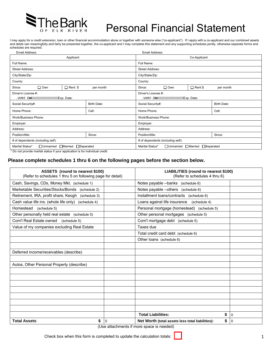

# Personal Financial Statement

I may apply for a credit extension, loan or other financial accommodation alone or together with someone else ("co-applicant"). If I apply with a co-applicant and our combined assets and debts can meaningfully and fairly be presented together, the co-applicant and I may complete this statement and any supporting schedules jointly, otherwise separate forms and schedules are required.

| Email Address:                                         |                 |                                                       | Email Address:                                                             |             |  |  |
|--------------------------------------------------------|-----------------|-------------------------------------------------------|----------------------------------------------------------------------------|-------------|--|--|
|                                                        | Co-Applicant    |                                                       |                                                                            |             |  |  |
|                                                        | Full Name:      |                                                       |                                                                            |             |  |  |
|                                                        |                 |                                                       |                                                                            |             |  |  |
|                                                        | City/State/Zip: |                                                       |                                                                            |             |  |  |
|                                                        | County:         |                                                       |                                                                            |             |  |  |
| per month                                              | Since:          | $\Box$ Own                                            | $\Box$ Rent \$                                                             | per month   |  |  |
| Driver's License #:<br>Q · AÖ az KWWWWWWWWWWWExp.Date: |                 | Driver's License #:<br>@. AÖae MWWWWWWWWWWWWExp.Date: |                                                                            |             |  |  |
| <b>Birth Date:</b>                                     |                 |                                                       |                                                                            | Birth Date: |  |  |
| Cell:                                                  | Home Phone:     |                                                       |                                                                            | Cell:       |  |  |
|                                                        |                 |                                                       |                                                                            |             |  |  |
|                                                        | Employer:       |                                                       |                                                                            |             |  |  |
|                                                        | Address:        |                                                       |                                                                            |             |  |  |
| Since:                                                 | Position/title: |                                                       |                                                                            | Since:      |  |  |
| # of dependents (including self):                      |                 | # of dependents (including self):                     |                                                                            |             |  |  |
|                                                        | Marital Status* | $\Box$ Unmarried                                      | □Separated                                                                 |             |  |  |
|                                                        | □Separated      |                                                       | <b>Street Address:</b><br>Social Security#:<br><b>Work/Business Phone:</b> | □Married    |  |  |

\* Do not provide marital status if your application is for individual credit

### **Please complete schedules 1 thru 6 on the following pages before the section below.**

| ASSETS (round to nearest \$100)<br>(Refer to schedules 1 thru 5 on following page for detail) |   | <b>LIABILITIES (round to nearest \$100)</b><br>(Refer to schedules 4 thru 6) |                |
|-----------------------------------------------------------------------------------------------|---|------------------------------------------------------------------------------|----------------|
| Cash, Savings, CDs, Money Mkt. (schedule 1)                                                   |   | Notes payable --banks (schedule 6)                                           |                |
| Marketable Securities/Stocks/Bonds (schedule 2)                                               |   | Notes payable --others (schedule 6)                                          |                |
| Retirement, IRA, profit share, Keogh (schedule 3)                                             |   | Installment loans/contracts (schedule 6)                                     |                |
| Cash value life ins. (whole life only) (schedule 4)                                           |   | Loans against life insurance<br>(schedule 4)                                 |                |
| Homestead<br>(schedule 5)                                                                     |   | Personal mortgage (homestead) (schedule 5)                                   |                |
| Other personally held real estate (schedule 5)                                                |   | Other personal mortgages (schedule 5)                                        |                |
| Com'l Real Estate owned (schedule 5)                                                          |   | Com'l mortgage debt (schedule 5)                                             |                |
| Value of my companies excluding Real Estate                                                   |   | Taxes due                                                                    |                |
|                                                                                               |   | Total credit card debt (schedule 6)                                          |                |
|                                                                                               |   | Other loans (schedule 6)                                                     |                |
|                                                                                               |   |                                                                              |                |
| Deferred income/receivables (describe)                                                        |   |                                                                              |                |
|                                                                                               |   |                                                                              |                |
| Autos, Other Personal Property (describe)                                                     |   |                                                                              |                |
|                                                                                               |   |                                                                              |                |
|                                                                                               |   |                                                                              |                |
|                                                                                               |   |                                                                              |                |
|                                                                                               |   |                                                                              |                |
|                                                                                               |   |                                                                              |                |
|                                                                                               |   |                                                                              |                |
|                                                                                               |   |                                                                              |                |
|                                                                                               |   | <b>Total Liabilities:</b><br>\$                                              | $\overline{0}$ |
| \$<br><b>Total Assets:</b>                                                                    | 0 | \$<br>Net Worth (total assets less total liabilities):                       | $\Omega$       |

(Use attachments if more space is needed)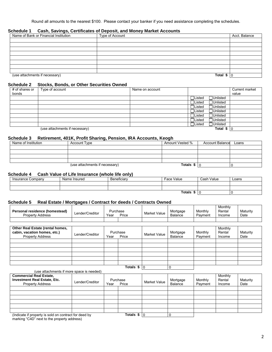Round all amounts to the nearest \$100. Please contact your banker if you need assistance completing the schedules.

#### **Schedule 1 Cash, Savings, Certificates of Deposit, and Money Market Accounts**

| Name of Bank or Financial Institution | Type of Account | Acct. Balance |
|---------------------------------------|-----------------|---------------|
|                                       |                 |               |
|                                       |                 |               |
|                                       |                 |               |
|                                       |                 |               |
|                                       |                 |               |
|                                       |                 |               |
|                                       |                 |               |
|                                       |                 |               |
| (use attachments if necessary)        | Total $$10$     |               |

# **Schedule 2 Stocks, Bonds, or Other Securities Owned**

| # of shares or<br>bonds | Type of account                | Name on account |                  |                  | Current market<br>value |
|-------------------------|--------------------------------|-----------------|------------------|------------------|-------------------------|
|                         |                                |                 | <b>OListed</b>   | □Unlisted        |                         |
|                         |                                |                 | <b>OListed</b>   | <b>Ounlisted</b> |                         |
|                         |                                |                 | $\Box$ Listed    | □Unlisted        |                         |
|                         |                                |                 | <b>OListed</b>   | <b>Ounlisted</b> |                         |
|                         |                                |                 | <b>OListed</b>   | <b>Ounlisted</b> |                         |
|                         |                                |                 | $\exists$ Listed | <b>□Unlisted</b> |                         |
|                         |                                |                 | <b>OListed</b>   | □Unlisted        |                         |
|                         | (use attachments if necessary) |                 |                  | Total $$10$      |                         |

### **Schedule 3 Retirement, 401K, Profit Sharing, Pension, IRA Accounts, Keogh**

| Name of Institution | <b>Account Type</b>            | Amount Vested % | <b>Account Balance</b> | Loans |
|---------------------|--------------------------------|-----------------|------------------------|-------|
|                     |                                |                 |                        |       |
|                     |                                |                 |                        |       |
|                     |                                |                 |                        |       |
|                     |                                |                 |                        |       |
|                     | (use attachments if necessary) | Totals          |                        |       |

#### **Schedule 4 Cash Value of Life Insurance (whole life only)**

(use attachments if more space is needed)

| Insurance Company | Name Insured | Beneficiary | Face Value | Cash Value | Loans |
|-------------------|--------------|-------------|------------|------------|-------|
|                   |              |             |            |            |       |
|                   |              |             |            |            |       |
|                   |              |             |            |            |       |

#### **Schedule 5 Real Estate / Mortgages / Contract for deeds / Contracts Owned**

| Personal residence (homestead)<br><b>Property Address</b>                                   | Lender/Creditor | Purchase<br>Year | Price             | Market Value | Mortgage<br>Balance | Monthly<br>Payment | Monthly<br>Rental<br>Income | Maturity<br>Date |
|---------------------------------------------------------------------------------------------|-----------------|------------------|-------------------|--------------|---------------------|--------------------|-----------------------------|------------------|
|                                                                                             |                 |                  |                   |              |                     |                    |                             |                  |
| Other Real Estate (rental homes,<br>cabin, vacation homes, etc.)<br><b>Property Address</b> | Lender/Creditor | Year             | Purchase<br>Price | Market Value | Mortgage<br>Balance | Monthly<br>Payment | Monthly<br>Rental<br>Income | Maturity<br>Date |
|                                                                                             |                 |                  |                   |              |                     |                    |                             |                  |
|                                                                                             |                 |                  |                   |              |                     |                    |                             |                  |
|                                                                                             |                 |                  |                   |              |                     |                    |                             |                  |
|                                                                                             |                 |                  |                   |              |                     |                    |                             |                  |
|                                                                                             |                 |                  |                   |              |                     |                    |                             |                  |

**Totals \$** 0 0

| <b>Commercial Real Estate,</b><br><b>Investment Real Estate, Etc.</b><br><b>Property Address</b> | Lender/Creditor      | Year | Purchase<br>Price | Market Value | Mortgage<br>Balance | Monthly<br>Payment | Monthly<br>Rental<br>Income | Maturity<br>Date |
|--------------------------------------------------------------------------------------------------|----------------------|------|-------------------|--------------|---------------------|--------------------|-----------------------------|------------------|
|                                                                                                  |                      |      |                   |              |                     |                    |                             |                  |
|                                                                                                  |                      |      |                   |              |                     |                    |                             |                  |
|                                                                                                  |                      |      |                   |              |                     |                    |                             |                  |
|                                                                                                  |                      |      |                   |              |                     |                    |                             |                  |
|                                                                                                  |                      |      |                   |              |                     |                    |                             |                  |
|                                                                                                  |                      |      |                   |              |                     |                    |                             |                  |
| $\mathbf{a}$ as a set<br>.<br>$\cdot$ $\cdot$                                                    | $\cdot$ $\cdot$<br>. |      | — <i>.</i>        |              | $\sim$              |                    |                             |                  |

(Indicate if property is sold on contract for deed by marking "C4D" next to the property address)

**Totals \$** 0 0